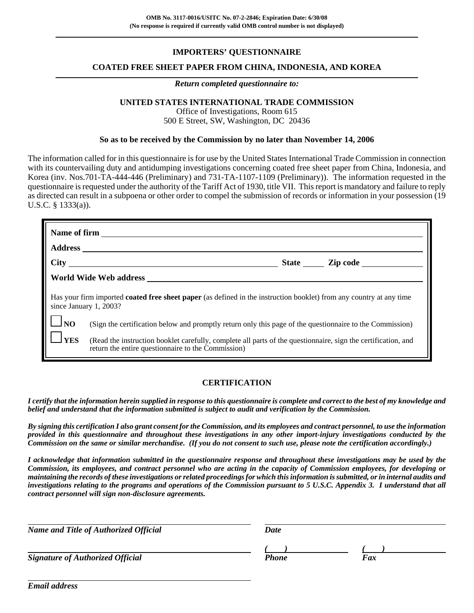## **IMPORTERS' QUESTIONNAIRE**

### **COATED FREE SHEET PAPER FROM CHINA, INDONESIA, AND KOREA**

#### *Return completed questionnaire to:*

## **UNITED STATES INTERNATIONAL TRADE COMMISSION**

Office of Investigations, Room 615 500 E Street, SW, Washington, DC 20436

#### **So as to be received by the Commission by no later than November 14, 2006**

The information called for in this questionnaire is for use by the United States International Trade Commission in connection with its countervailing duty and antidumping investigations concerning coated free sheet paper from China, Indonesia, and Korea (inv. Nos.701-TA-444-446 (Preliminary) and 731-TA-1107-1109 (Preliminary)). The information requested in the questionnaire is requested under the authority of the Tariff Act of 1930, title VII. This report is mandatory and failure to reply as directed can result in a subpoena or other order to compel the submission of records or information in your possession (19 U.S.C. § 1333(a)).

| Name of firm     |                                                                                                                                                                     |  |  |  |
|------------------|---------------------------------------------------------------------------------------------------------------------------------------------------------------------|--|--|--|
| Address ______   |                                                                                                                                                                     |  |  |  |
|                  |                                                                                                                                                                     |  |  |  |
|                  |                                                                                                                                                                     |  |  |  |
|                  | Has your firm imported <b>coated free sheet paper</b> (as defined in the instruction booklet) from any country at any time<br>since January 1, 2003?                |  |  |  |
| $\frac{1}{1}$ NO | (Sign the certification below and promptly return only this page of the questionnaire to the Commission)                                                            |  |  |  |
| $\mathbf{I}$ YES | (Read the instruction booklet carefully, complete all parts of the questionnaire, sign the certification, and<br>return the entire questionnaire to the Commission) |  |  |  |

## **CERTIFICATION**

*I certify that the information herein supplied in response to this questionnaire is complete and correct to the best of my knowledge and belief and understand that the information submitted is subject to audit and verification by the Commission.*

*By signing this certification I also grant consent for the Commission, and its employees and contract personnel, to use the information provided in this questionnaire and throughout these investigations in any other import-injury investigations conducted by the Commission on the same or similar merchandise. (If you do not consent to such use, please note the certification accordingly.)*

*I acknowledge that information submitted in the questionnaire response and throughout these investigations may be used by the Commission, its employees, and contract personnel who are acting in the capacity of Commission employees, for developing or maintaining the records of these investigations or related proceedings for which this information is submitted, or in internal audits and investigations relating to the programs and operations of the Commission pursuant to 5 U.S.C. Appendix 3. I understand that all contract personnel will sign non-disclosure agreements.*

| <b>Name and Title of Authorized Official</b> | Date  |     |
|----------------------------------------------|-------|-----|
|                                              |       |     |
| <b>Signature of Authorized Official</b>      | Phone | Fax |

*Email address*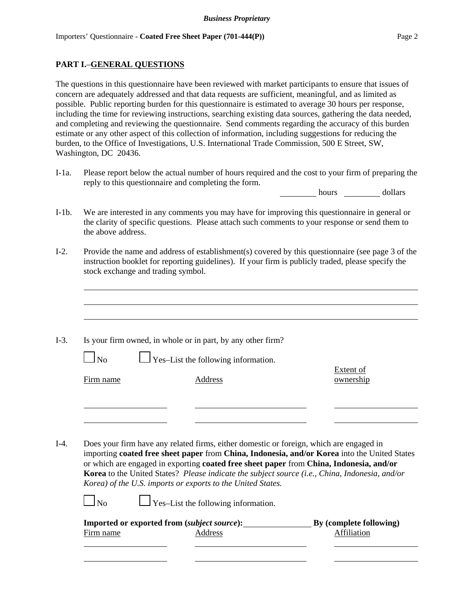## **PART I.**–**GENERAL QUESTIONS**

The questions in this questionnaire have been reviewed with market participants to ensure that issues of concern are adequately addressed and that data requests are sufficient, meaningful, and as limited as possible. Public reporting burden for this questionnaire is estimated to average 30 hours per response, including the time for reviewing instructions, searching existing data sources, gathering the data needed, and completing and reviewing the questionnaire. Send comments regarding the accuracy of this burden estimate or any other aspect of this collection of information, including suggestions for reducing the burden, to the Office of Investigations, U.S. International Trade Commission, 500 E Street, SW, Washington, DC 20436.

I-1a. Please report below the actual number of hours required and the cost to your firm of preparing the reply to this questionnaire and completing the form.

hours dollars

- I-1b. We are interested in any comments you may have for improving this questionnaire in general or the clarity of specific questions. Please attach such comments to your response or send them to the above address.
- I-2. Provide the name and address of establishment(s) covered by this questionnaire (see page 3 of the instruction booklet for reporting guidelines). If your firm is publicly traded, please specify the stock exchange and trading symbol.
- I-3. Is your firm owned, in whole or in part, by any other firm?

 $\perp$  Yes–List the following information.

Firm name Address Address **Address CONFINGLER** 

Extent of

I-4. Does your firm have any related firms, either domestic or foreign, which are engaged in importing **coated free sheet paper** from **China, Indonesia, and/or Korea** into the United States or which are engaged in exporting **coated free sheet paper** from **China, Indonesia, and/or Korea** to the United States? *Please indicate the subject source (i.e., China, Indonesia, and/or Korea) of the U.S. imports or exports to the United States.*

| $\Box_{\rm No}$ | $\Box$ Yes-List the following information. |
|-----------------|--------------------------------------------|
|                 |                                            |

|           | <b>Imported or exported from (subject source):</b> | By (complete following) |
|-----------|----------------------------------------------------|-------------------------|
| Firm name | Address                                            | Affiliation             |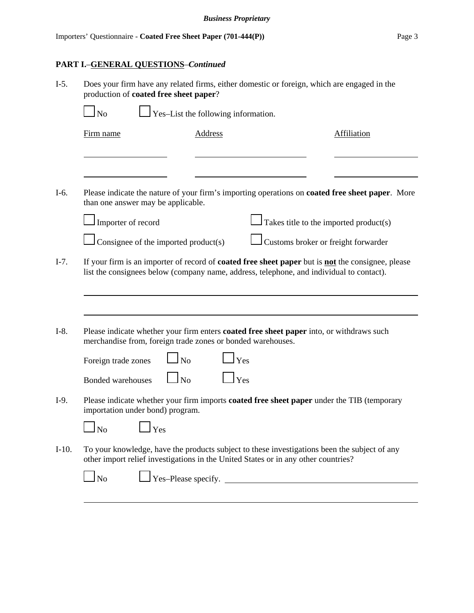# **PART I.**–**GENERAL QUESTIONS**–*Continued*

| $I-5.$  | Does your firm have any related firms, either domestic or foreign, which are engaged in the<br>production of coated free sheet paper?                                                                       |                                     |                             |                                                                                                         |
|---------|-------------------------------------------------------------------------------------------------------------------------------------------------------------------------------------------------------------|-------------------------------------|-----------------------------|---------------------------------------------------------------------------------------------------------|
|         | $\Box$ No                                                                                                                                                                                                   | Yes-List the following information. |                             |                                                                                                         |
|         | Firm name                                                                                                                                                                                                   | <b>Address</b>                      |                             | Affiliation                                                                                             |
|         |                                                                                                                                                                                                             |                                     |                             |                                                                                                         |
| I-6.    | than one answer may be applicable.                                                                                                                                                                          |                                     |                             | Please indicate the nature of your firm's importing operations on <b>coated free sheet paper</b> . More |
|         | Importer of record                                                                                                                                                                                          |                                     |                             | Takes title to the imported product(s)                                                                  |
|         | Consignee of the imported product(s)                                                                                                                                                                        |                                     |                             | Customs broker or freight forwarder                                                                     |
| $I-7.$  | If your firm is an importer of record of <b>coated free sheet paper</b> but is <b>not</b> the consignee, please<br>list the consignees below (company name, address, telephone, and individual to contact). |                                     |                             |                                                                                                         |
| $I-8.$  | Please indicate whether your firm enters <b>coated free sheet paper</b> into, or withdraws such<br>merchandise from, foreign trade zones or bonded warehouses.                                              |                                     |                             |                                                                                                         |
|         | Foreign trade zones                                                                                                                                                                                         | $\overline{\text{No}}$              | Yes                         |                                                                                                         |
|         | <b>Bonded warehouses</b>                                                                                                                                                                                    | $\ln$                               | Yes                         |                                                                                                         |
| $I-9.$  | Please indicate whether your firm imports <b>coated free sheet paper</b> under the TIB (temporary<br>importation under bond) program.                                                                       |                                     |                             |                                                                                                         |
|         | $\Box$ No<br>$1$ Yes                                                                                                                                                                                        |                                     |                             |                                                                                                         |
| $I-10.$ | To your knowledge, have the products subject to these investigations been the subject of any<br>other import relief investigations in the United States or in any other countries?                          |                                     |                             |                                                                                                         |
|         | $\log$                                                                                                                                                                                                      |                                     | $\perp$ Yes-Please specify. |                                                                                                         |
|         |                                                                                                                                                                                                             |                                     |                             |                                                                                                         |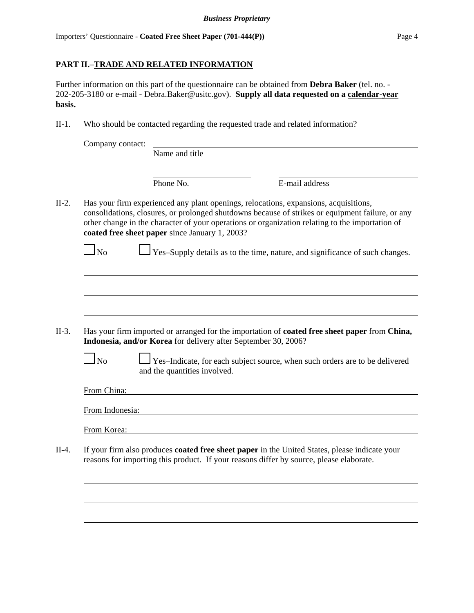## **PART II.**–**TRADE AND RELATED INFORMATION**

Further information on this part of the questionnaire can be obtained from **Debra Baker** (tel. no. - 202-205-3180 or e-mail - Debra.Baker@usitc.gov). **Supply all data requested on a calendar-year basis.**

II-1. Who should be contacted regarding the requested trade and related information?

| Company contact:       |                                                                                                                                                                                                                                                                                                                                               |                |  |
|------------------------|-----------------------------------------------------------------------------------------------------------------------------------------------------------------------------------------------------------------------------------------------------------------------------------------------------------------------------------------------|----------------|--|
|                        | Name and title                                                                                                                                                                                                                                                                                                                                |                |  |
|                        | Phone No.                                                                                                                                                                                                                                                                                                                                     | E-mail address |  |
|                        | Has your firm experienced any plant openings, relocations, expansions, acquisitions,<br>consolidations, closures, or prolonged shutdowns because of strikes or equipment failure, or any<br>other change in the character of your operations or organization relating to the importation of<br>coated free sheet paper since January 1, 2003? |                |  |
| $\overline{\text{No}}$ | Yes-Supply details as to the time, nature, and significance of such changes.                                                                                                                                                                                                                                                                  |                |  |
|                        |                                                                                                                                                                                                                                                                                                                                               |                |  |
|                        |                                                                                                                                                                                                                                                                                                                                               |                |  |
|                        |                                                                                                                                                                                                                                                                                                                                               |                |  |
|                        |                                                                                                                                                                                                                                                                                                                                               |                |  |
|                        |                                                                                                                                                                                                                                                                                                                                               |                |  |
|                        |                                                                                                                                                                                                                                                                                                                                               |                |  |
|                        | Has your firm imported or arranged for the importation of <b>coated free sheet paper</b> from China,<br>Indonesia, and/or Korea for delivery after September 30, 2006?                                                                                                                                                                        |                |  |
| $\Box$ No              | Yes-Indicate, for each subject source, when such orders are to be delivered<br>and the quantities involved.                                                                                                                                                                                                                                   |                |  |
| From China:            |                                                                                                                                                                                                                                                                                                                                               |                |  |
|                        |                                                                                                                                                                                                                                                                                                                                               |                |  |
| From Indonesia:        |                                                                                                                                                                                                                                                                                                                                               |                |  |
| From Korea:            |                                                                                                                                                                                                                                                                                                                                               |                |  |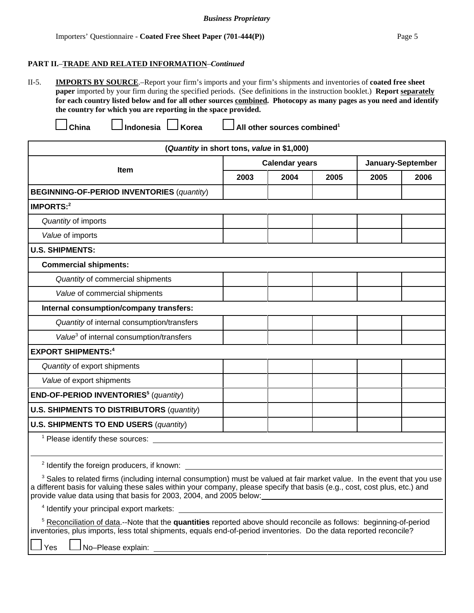#### *Business Proprietary*

#### **PART II.**–**TRADE AND RELATED INFORMATION**–*Continued*

II-5. **IMPORTS BY SOURCE**.–Report your firm's imports and your firm's shipments and inventories of **coated free sheet paper** imported by your firm during the specified periods. (See definitions in the instruction booklet.) **Report separately for each country listed below and for all other sources combined. Photocopy as many pages as you need and identify the country for which you are reporting in the space provided.**

China **Indonesia LI** Korea **LI** All other sources combined<sup>1</sup>

| (Quantity in short tons, value in \$1,000)                                                                                                                                                                                                                                                                                                                                                 |      |                       |      |      |                   |  |
|--------------------------------------------------------------------------------------------------------------------------------------------------------------------------------------------------------------------------------------------------------------------------------------------------------------------------------------------------------------------------------------------|------|-----------------------|------|------|-------------------|--|
|                                                                                                                                                                                                                                                                                                                                                                                            |      | <b>Calendar years</b> |      |      | January-September |  |
| Item                                                                                                                                                                                                                                                                                                                                                                                       | 2003 | 2004                  | 2005 | 2005 | 2006              |  |
| <b>BEGINNING-OF-PERIOD INVENTORIES (quantity)</b>                                                                                                                                                                                                                                                                                                                                          |      |                       |      |      |                   |  |
| <b>IMPORTS:2</b>                                                                                                                                                                                                                                                                                                                                                                           |      |                       |      |      |                   |  |
| Quantity of imports                                                                                                                                                                                                                                                                                                                                                                        |      |                       |      |      |                   |  |
| Value of imports                                                                                                                                                                                                                                                                                                                                                                           |      |                       |      |      |                   |  |
| <b>U.S. SHIPMENTS:</b>                                                                                                                                                                                                                                                                                                                                                                     |      |                       |      |      |                   |  |
| <b>Commercial shipments:</b>                                                                                                                                                                                                                                                                                                                                                               |      |                       |      |      |                   |  |
| Quantity of commercial shipments                                                                                                                                                                                                                                                                                                                                                           |      |                       |      |      |                   |  |
| Value of commercial shipments                                                                                                                                                                                                                                                                                                                                                              |      |                       |      |      |                   |  |
| Internal consumption/company transfers:                                                                                                                                                                                                                                                                                                                                                    |      |                       |      |      |                   |  |
| Quantity of internal consumption/transfers                                                                                                                                                                                                                                                                                                                                                 |      |                       |      |      |                   |  |
| Value <sup>3</sup> of internal consumption/transfers                                                                                                                                                                                                                                                                                                                                       |      |                       |      |      |                   |  |
| <b>EXPORT SHIPMENTS:4</b>                                                                                                                                                                                                                                                                                                                                                                  |      |                       |      |      |                   |  |
| Quantity of export shipments                                                                                                                                                                                                                                                                                                                                                               |      |                       |      |      |                   |  |
| Value of export shipments                                                                                                                                                                                                                                                                                                                                                                  |      |                       |      |      |                   |  |
| END-OF-PERIOD INVENTORIES <sup>5</sup> (quantity)                                                                                                                                                                                                                                                                                                                                          |      |                       |      |      |                   |  |
| <b>U.S. SHIPMENTS TO DISTRIBUTORS (quantity)</b>                                                                                                                                                                                                                                                                                                                                           |      |                       |      |      |                   |  |
| <b>U.S. SHIPMENTS TO END USERS (quantity)</b>                                                                                                                                                                                                                                                                                                                                              |      |                       |      |      |                   |  |
| <sup>1</sup> Please identify these sources:                                                                                                                                                                                                                                                                                                                                                |      |                       |      |      |                   |  |
|                                                                                                                                                                                                                                                                                                                                                                                            |      |                       |      |      |                   |  |
| <sup>2</sup> Identify the foreign producers, if known:                                                                                                                                                                                                                                                                                                                                     |      |                       |      |      |                   |  |
| <sup>3</sup> Sales to related firms (including internal consumption) must be valued at fair market value. In the event that you use<br>a different basis for valuing these sales within your company, please specify that basis (e.g., cost, cost plus, etc.) and<br>provide value data using that basis for 2003, 2004, and 2005 below: <u>Community of the set of the set of the set</u> |      |                       |      |      |                   |  |
| <sup>4</sup> Identify your principal export markets:                                                                                                                                                                                                                                                                                                                                       |      |                       |      |      |                   |  |
| <sup>5</sup> Reconciliation of data.--Note that the quantities reported above should reconcile as follows: beginning-of-period<br>inventories, plus imports, less total shipments, equals end-of-period inventories. Do the data reported reconcile?                                                                                                                                       |      |                       |      |      |                   |  |

 $\log$   $\Box$  No–Please explain: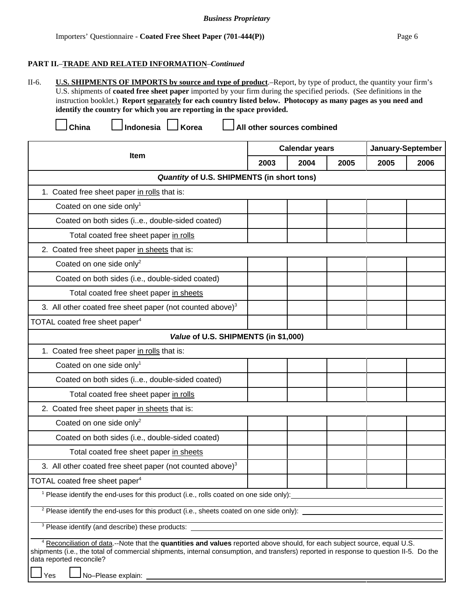#### *Business Proprietary*

II-6. **U.S. SHIPMENTS OF IMPORTS by source and type of product**.–Report, by type of product, the quantity your firm's U.S. shipments of **coated free sheet paper** imported by your firm during the specified periods. (See definitions in the instruction booklet.) **Report separately for each country listed below. Photocopy as many pages as you need and identify the country for which you are reporting in the space provided.**

 **China Indonesia Korea All other sources combined**

|                                                                                                                                                                                                                                                                                                                                         |                                                                                                   | <b>Calendar years</b> |      |      | January-September |  |
|-----------------------------------------------------------------------------------------------------------------------------------------------------------------------------------------------------------------------------------------------------------------------------------------------------------------------------------------|---------------------------------------------------------------------------------------------------|-----------------------|------|------|-------------------|--|
| <b>Item</b>                                                                                                                                                                                                                                                                                                                             | 2003                                                                                              | 2004                  | 2005 | 2005 | 2006              |  |
| Quantity of U.S. SHIPMENTS (in short tons)                                                                                                                                                                                                                                                                                              |                                                                                                   |                       |      |      |                   |  |
| 1. Coated free sheet paper in rolls that is:                                                                                                                                                                                                                                                                                            |                                                                                                   |                       |      |      |                   |  |
| Coated on one side only <sup>1</sup>                                                                                                                                                                                                                                                                                                    |                                                                                                   |                       |      |      |                   |  |
| Coated on both sides (ie., double-sided coated)                                                                                                                                                                                                                                                                                         |                                                                                                   |                       |      |      |                   |  |
| Total coated free sheet paper in rolls                                                                                                                                                                                                                                                                                                  |                                                                                                   |                       |      |      |                   |  |
| 2. Coated free sheet paper in sheets that is:                                                                                                                                                                                                                                                                                           |                                                                                                   |                       |      |      |                   |  |
| Coated on one side only <sup>2</sup>                                                                                                                                                                                                                                                                                                    |                                                                                                   |                       |      |      |                   |  |
| Coated on both sides (i.e., double-sided coated)                                                                                                                                                                                                                                                                                        |                                                                                                   |                       |      |      |                   |  |
| Total coated free sheet paper in sheets                                                                                                                                                                                                                                                                                                 |                                                                                                   |                       |      |      |                   |  |
| 3. All other coated free sheet paper (not counted above) <sup>3</sup>                                                                                                                                                                                                                                                                   |                                                                                                   |                       |      |      |                   |  |
| TOTAL coated free sheet paper <sup>4</sup>                                                                                                                                                                                                                                                                                              |                                                                                                   |                       |      |      |                   |  |
| Value of U.S. SHIPMENTS (in \$1,000)                                                                                                                                                                                                                                                                                                    |                                                                                                   |                       |      |      |                   |  |
| 1. Coated free sheet paper in rolls that is:                                                                                                                                                                                                                                                                                            |                                                                                                   |                       |      |      |                   |  |
| Coated on one side only <sup>1</sup>                                                                                                                                                                                                                                                                                                    |                                                                                                   |                       |      |      |                   |  |
| Coated on both sides (ie., double-sided coated)                                                                                                                                                                                                                                                                                         |                                                                                                   |                       |      |      |                   |  |
| Total coated free sheet paper in rolls                                                                                                                                                                                                                                                                                                  |                                                                                                   |                       |      |      |                   |  |
| 2. Coated free sheet paper in sheets that is:                                                                                                                                                                                                                                                                                           |                                                                                                   |                       |      |      |                   |  |
| Coated on one side only <sup>2</sup>                                                                                                                                                                                                                                                                                                    |                                                                                                   |                       |      |      |                   |  |
| Coated on both sides (i.e., double-sided coated)                                                                                                                                                                                                                                                                                        |                                                                                                   |                       |      |      |                   |  |
| Total coated free sheet paper in sheets                                                                                                                                                                                                                                                                                                 |                                                                                                   |                       |      |      |                   |  |
| 3. All other coated free sheet paper (not counted above) $3$                                                                                                                                                                                                                                                                            |                                                                                                   |                       |      |      |                   |  |
| TOTAL coated free sheet paper <sup>4</sup>                                                                                                                                                                                                                                                                                              |                                                                                                   |                       |      |      |                   |  |
|                                                                                                                                                                                                                                                                                                                                         | <sup>1</sup> Please identify the end-uses for this product (i.e., rolls coated on one side only): |                       |      |      |                   |  |
| <sup>2</sup> Please identify the end-uses for this product (i.e., sheets coated on one side only):                                                                                                                                                                                                                                      |                                                                                                   |                       |      |      |                   |  |
| <sup>3</sup> Please identify (and describe) these products:                                                                                                                                                                                                                                                                             |                                                                                                   |                       |      |      |                   |  |
| <sup>4</sup> Reconciliation of data.--Note that the quantities and values reported above should, for each subject source, equal U.S.<br>shipments (i.e., the total of commercial shipments, internal consumption, and transfers) reported in response to question II-5. Do the<br>data reported reconcile?<br>No-Please explain:<br>Yes |                                                                                                   |                       |      |      |                   |  |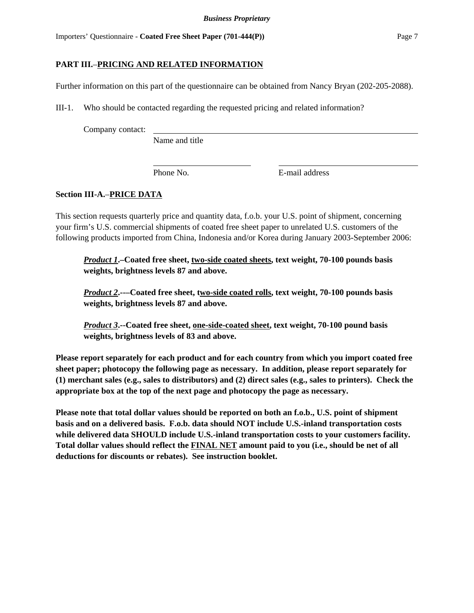## **PART III.**–**PRICING AND RELATED INFORMATION**

Further information on this part of the questionnaire can be obtained from Nancy Bryan (202-205-2088).

III-1. Who should be contacted regarding the requested pricing and related information?

Company contact:

Name and title

Phone No. **E**-mail address

## **Section III-A.**–**PRICE DATA**

This section requests quarterly price and quantity data, f.o.b. your U.S. point of shipment, concerning your firm's U.S. commercial shipments of coated free sheet paper to unrelated U.S. customers of the following products imported from China, Indonesia and/or Korea during January 2003-September 2006:

*Product 1***.–Coated free sheet, two-side coated sheets, text weight, 70-100 pounds basis weights, brightness levels 87 and above.**

*Product 2***.--–Coated free sheet, two-side coated rolls, text weight, 70-100 pounds basis weights, brightness levels 87 and above.**

*Product 3***.--Coated free sheet, one-side-coated sheet, text weight, 70-100 pound basis weights, brightness levels of 83 and above.**

**Please report separately for each product and for each country from which you import coated free sheet paper; photocopy the following page as necessary. In addition, please report separately for (1) merchant sales (e.g., sales to distributors) and (2) direct sales (e.g., sales to printers). Check the appropriate box at the top of the next page and photocopy the page as necessary.**

**Please note that total dollar values should be reported on both an f.o.b., U.S. point of shipment basis and on a delivered basis. F.o.b. data should NOT include U.S.-inland transportation costs while delivered data SHOULD include U.S.-inland transportation costs to your customers facility. Total dollar values should reflect the FINAL NET amount paid to you (i.e., should be net of all deductions for discounts or rebates). See instruction booklet.**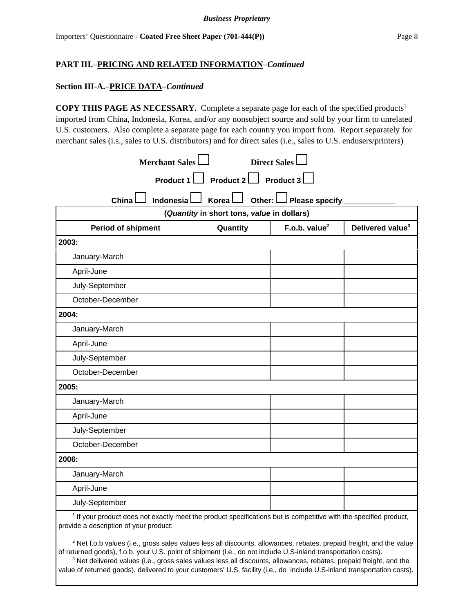#### **Section III-A.**–**PRICE DATA**–*Continued*

**COPY THIS PAGE AS NECESSARY.** Complete a separate page for each of the specified products<sup>1</sup> imported from China, Indonesia, Korea, and/or any nonsubject source and sold by your firm to unrelated U.S. customers. Also complete a separate page for each country you import from. Report separately for merchant sales (i.s., sales to U.S. distributors) and for direct sales (i.e., sales to U.S. endusers/printers)

| Merchant Sales<br><b>Direct Sales</b>                                                                                        |                                            |                              |                              |  |  |
|------------------------------------------------------------------------------------------------------------------------------|--------------------------------------------|------------------------------|------------------------------|--|--|
| Product 1 Product 2 Product 3                                                                                                |                                            |                              |                              |  |  |
| Indonesial<br>China                                                                                                          | <b>Korea</b><br>Other: L                   | $\Box$ Please specify $\Box$ |                              |  |  |
|                                                                                                                              | (Quantity in short tons, value in dollars) |                              |                              |  |  |
| <b>Period of shipment</b>                                                                                                    | Quantity                                   | F.o.b. value $2$             | Delivered value <sup>3</sup> |  |  |
| 2003:                                                                                                                        |                                            |                              |                              |  |  |
| January-March                                                                                                                |                                            |                              |                              |  |  |
| April-June                                                                                                                   |                                            |                              |                              |  |  |
| July-September                                                                                                               |                                            |                              |                              |  |  |
| October-December                                                                                                             |                                            |                              |                              |  |  |
| 2004:                                                                                                                        |                                            |                              |                              |  |  |
| January-March                                                                                                                |                                            |                              |                              |  |  |
| April-June                                                                                                                   |                                            |                              |                              |  |  |
| July-September                                                                                                               |                                            |                              |                              |  |  |
| October-December                                                                                                             |                                            |                              |                              |  |  |
| 2005:                                                                                                                        |                                            |                              |                              |  |  |
| January-March                                                                                                                |                                            |                              |                              |  |  |
| April-June                                                                                                                   |                                            |                              |                              |  |  |
| July-September                                                                                                               |                                            |                              |                              |  |  |
| October-December                                                                                                             |                                            |                              |                              |  |  |
| 2006:                                                                                                                        |                                            |                              |                              |  |  |
| January-March                                                                                                                |                                            |                              |                              |  |  |
| April-June                                                                                                                   |                                            |                              |                              |  |  |
| July-September                                                                                                               |                                            |                              |                              |  |  |
| <sup>1</sup> If your product does not exactly meet the product specifications but is competitive with the specified product, |                                            |                              |                              |  |  |

provide a description of your product:

 $^2$  Net f.o.b values (i.e., gross sales values less all discounts, allowances, rebates, prepaid freight, and the value of returned goods), f.o.b. your U.S. point of shipment (i.e., do not include U.S-inland transportation costs).

 $3$  Net delivered values (i.e., gross sales values less all discounts, allowances, rebates, prepaid freight, and the value of returned goods), delivered to your customers' U.S. facility (i.e., do include U.S-inland transportation costs).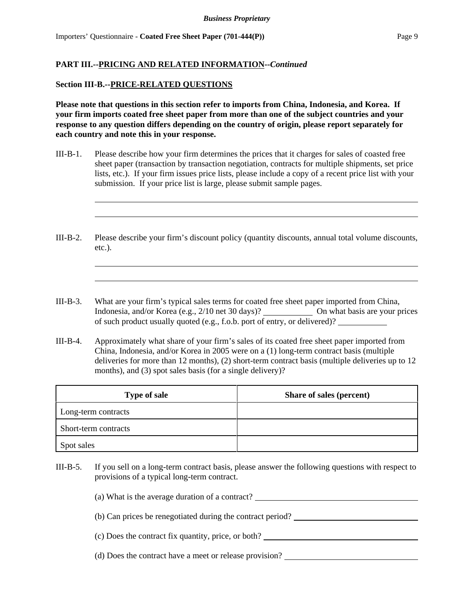### **Section III-B.--PRICE-RELATED QUESTIONS**

**Please note that questions in this section refer to imports from China, Indonesia, and Korea. If your firm imports coated free sheet paper from more than one of the subject countries and your response to any question differs depending on the country of origin, please report separately for each country and note this in your response.** 

- III-B-1. Please describe how your firm determines the prices that it charges for sales of coasted free sheet paper (transaction by transaction negotiation, contracts for multiple shipments, set price lists, etc.). If your firm issues price lists, please include a copy of a recent price list with your submission. If your price list is large, please submit sample pages.
- III-B-2. Please describe your firm's discount policy (quantity discounts, annual total volume discounts, etc.).
- III-B-3. What are your firm's typical sales terms for coated free sheet paper imported from China, Indonesia, and/or Korea (e.g., 2/10 net 30 days)? On what basis are your prices of such product usually quoted (e.g., f.o.b. port of entry, or delivered)?
- III-B-4. Approximately what share of your firm's sales of its coated free sheet paper imported from China, Indonesia, and/or Korea in 2005 were on a (1) long-term contract basis (multiple deliveries for more than 12 months), (2) short-term contract basis (multiple deliveries up to 12 months), and (3) spot sales basis (for a single delivery)?

| <b>Type of sale</b>  | Share of sales (percent) |
|----------------------|--------------------------|
| Long-term contracts  |                          |
| Short-term contracts |                          |
| Spot sales           |                          |

III-B-5. If you sell on a long-term contract basis, please answer the following questions with respect to provisions of a typical long-term contract.

> (a) What is the average duration of a contract? (b) Can prices be renegotiated during the contract period?

> (c) Does the contract fix quantity, price, or both?

(d) Does the contract have a meet or release provision?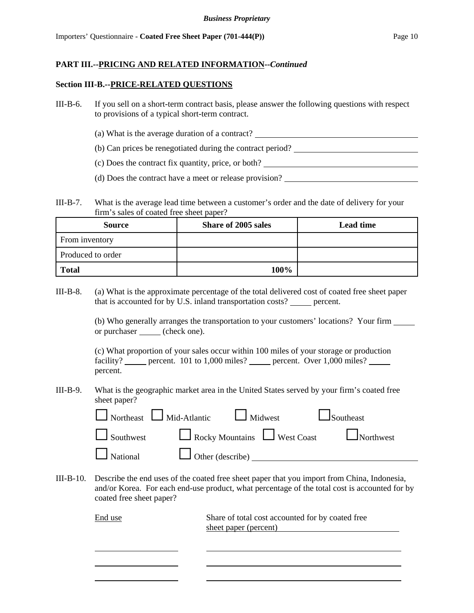#### **Section III-B.--PRICE-RELATED QUESTIONS**

- III-B-6. If you sell on a short-term contract basis, please answer the following questions with respect to provisions of a typical short-term contract.
	- (a) What is the average duration of a contract?
	- (b) Can prices be renegotiated during the contract period?
	- (c) Does the contract fix quantity, price, or both?
	- (d) Does the contract have a meet or release provision?
- III-B-7. What is the average lead time between a customer's order and the date of delivery for your firm's sales of coated free sheet paper?

| <b>Source</b>     | <b>Share of 2005 sales</b> | <b>Lead time</b> |
|-------------------|----------------------------|------------------|
| From inventory    |                            |                  |
| Produced to order |                            |                  |
| <b>Total</b>      | 100%                       |                  |

III-B-8. (a) What is the approximate percentage of the total delivered cost of coated free sheet paper that is accounted for by U.S. inland transportation costs? <u>percent</u>.

> (b) Who generally arranges the transportation to your customers' locations? Your firm or purchaser \_\_\_\_\_ (check one).

(c) What proportion of your sales occur within 100 miles of your storage or production facility? percent. 101 to 1,000 miles? percent. Over 1,000 miles? percent.

III-B-9. What is the geographic market area in the United States served by your firm's coated free sheet paper?

|                                                | $\Box$ Northeast $\Box$ Mid-Atlantic $\Box$ Midwest | $\Box$ Southeast                               |
|------------------------------------------------|-----------------------------------------------------|------------------------------------------------|
|                                                |                                                     | Southwest Rocky Mountains West Coast Northwest |
| $\Box$ National $\Box$ Other (describe) $\Box$ |                                                     |                                                |

III-B-10. Describe the end uses of the coated free sheet paper that you import from China, Indonesia, and/or Korea. For each end-use product, what percentage of the total cost is accounted for by coated free sheet paper?

> End use Share of total cost accounted for by coated free sheet paper (percent)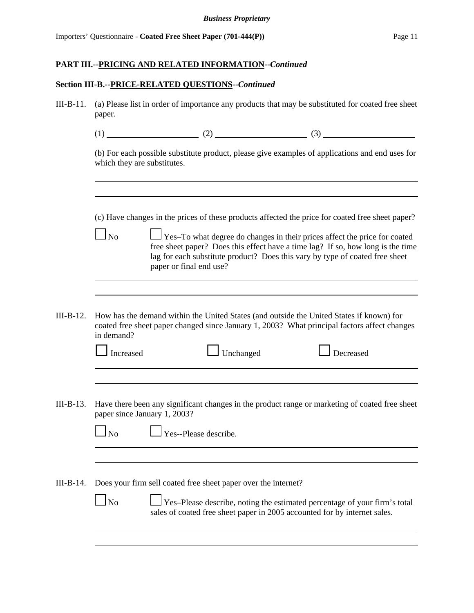## **Section III-B.--PRICE-RELATED QUESTIONS--***Continued*

| $III-B-11.$ | (a) Please list in order of importance any products that may be substituted for coated free sheet<br>paper. |                                                                |                   |  |                                                                                                                                                                                                                                                                                                                                                  |  |
|-------------|-------------------------------------------------------------------------------------------------------------|----------------------------------------------------------------|-------------------|--|--------------------------------------------------------------------------------------------------------------------------------------------------------------------------------------------------------------------------------------------------------------------------------------------------------------------------------------------------|--|
|             |                                                                                                             |                                                                |                   |  |                                                                                                                                                                                                                                                                                                                                                  |  |
|             | which they are substitutes.                                                                                 |                                                                |                   |  | (b) For each possible substitute product, please give examples of applications and end uses for                                                                                                                                                                                                                                                  |  |
|             | $\ln$                                                                                                       |                                                                |                   |  | (c) Have changes in the prices of these products affected the price for coated free sheet paper?<br>Yes-To what degree do changes in their prices affect the price for coated<br>free sheet paper? Does this effect have a time lag? If so, how long is the time<br>lag for each substitute product? Does this vary by type of coated free sheet |  |
|             |                                                                                                             | paper or final end use?                                        |                   |  |                                                                                                                                                                                                                                                                                                                                                  |  |
|             |                                                                                                             |                                                                |                   |  |                                                                                                                                                                                                                                                                                                                                                  |  |
| $III-B-12.$ | in demand?<br>Increased                                                                                     |                                                                | $\vert$ Unchanged |  | How has the demand within the United States (and outside the United States if known) for<br>coated free sheet paper changed since January 1, 2003? What principal factors affect changes<br>Decreased                                                                                                                                            |  |
|             |                                                                                                             |                                                                |                   |  |                                                                                                                                                                                                                                                                                                                                                  |  |
| $III-B-13.$ | paper since January 1, 2003?                                                                                |                                                                |                   |  | Have there been any significant changes in the product range or marketing of coated free sheet                                                                                                                                                                                                                                                   |  |
|             | N <sub>o</sub>                                                                                              | Yes--Please describe.                                          |                   |  |                                                                                                                                                                                                                                                                                                                                                  |  |
|             |                                                                                                             |                                                                |                   |  |                                                                                                                                                                                                                                                                                                                                                  |  |
|             |                                                                                                             |                                                                |                   |  |                                                                                                                                                                                                                                                                                                                                                  |  |
| III-B-14.   |                                                                                                             | Does your firm sell coated free sheet paper over the internet? |                   |  |                                                                                                                                                                                                                                                                                                                                                  |  |
|             | N <sub>o</sub>                                                                                              |                                                                |                   |  | Yes-Please describe, noting the estimated percentage of your firm's total<br>sales of coated free sheet paper in 2005 accounted for by internet sales.                                                                                                                                                                                           |  |
|             |                                                                                                             |                                                                |                   |  |                                                                                                                                                                                                                                                                                                                                                  |  |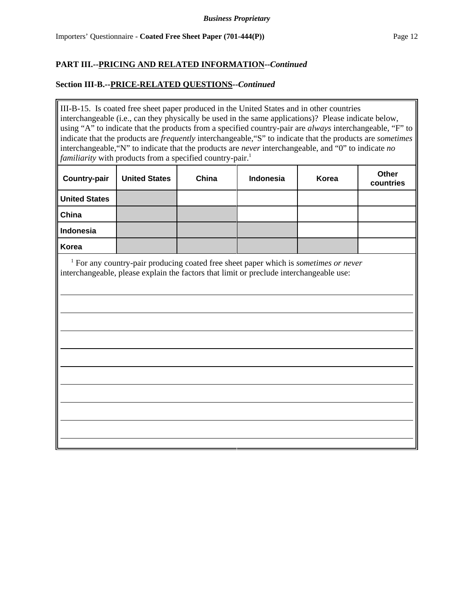## **Section III-B.--PRICE-RELATED QUESTIONS--***Continued*

III-B-15. Is coated free sheet paper produced in the United States and in other countries interchangeable (i.e., can they physically be used in the same applications)? Please indicate below, using "A" to indicate that the products from a specified country-pair are *always* interchangeable, "F" to indicate that the products are *frequently* interchangeable,"S" to indicate that the products are *sometimes* interchangeable,"N" to indicate that the products are *never* interchangeable, and "0" to indicate *no familiarity* with products from a specified country-pair.<sup>1</sup>

| <b>Country-pair</b>  | <b>United States</b> | China | <b>Indonesia</b> | Korea | Other<br>countries |
|----------------------|----------------------|-------|------------------|-------|--------------------|
| <b>United States</b> |                      |       |                  |       |                    |
| China                |                      |       |                  |       |                    |
| Indonesia            |                      |       |                  |       |                    |
| Korea                |                      |       |                  |       |                    |

 <sup>1</sup> For any country-pair producing coated free sheet paper which is *sometimes or never* interchangeable, please explain the factors that limit or preclude interchangeable use: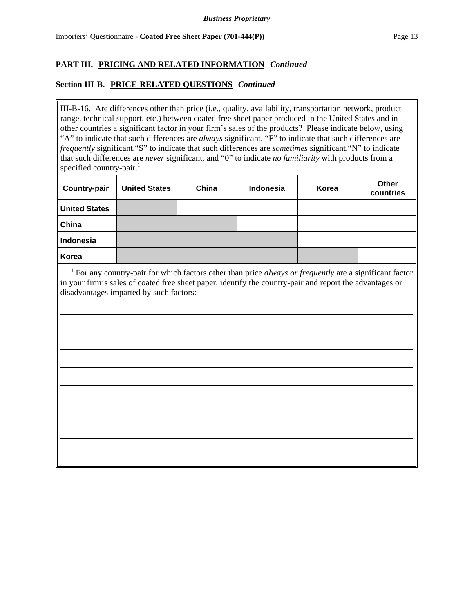## **Section III-B.--PRICE-RELATED QUESTIONS--***Continued*

III-B-16. Are differences other than price (i.e., quality, availability, transportation network, product range, technical support, etc.) between coated free sheet paper produced in the United States and in other countries a significant factor in your firm's sales of the products? Please indicate below, using "A" to indicate that such differences are *always* significant, "F" to indicate that such differences are *frequently* significant,"S" to indicate that such differences are *sometimes* significant,"N" to indicate that such differences are *never* significant, and "0" to indicate *no familiarity* with products from a specified country-pair.<sup>1</sup>

| <b>Country-pair</b>  | <b>United States</b> | China | Indonesia | Korea | Other<br>countries |
|----------------------|----------------------|-------|-----------|-------|--------------------|
| <b>United States</b> |                      |       |           |       |                    |
| China                |                      |       |           |       |                    |
| Indonesia            |                      |       |           |       |                    |
| Korea                |                      |       |           |       |                    |

<sup>1</sup> For any country-pair for which factors other than price *always or frequently* are a significant factor in your firm's sales of coated free sheet paper, identify the country-pair and report the advantages or disadvantages imparted by such factors: